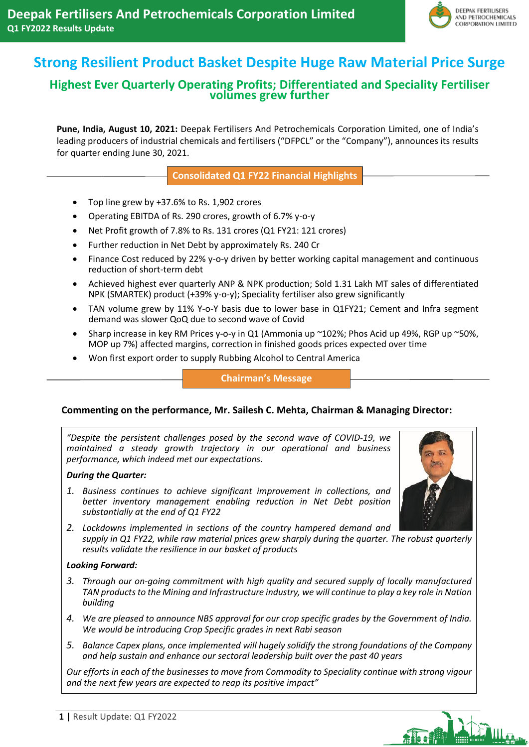

# **Strong Resilient Product Basket Despite Huge Raw Material Price Surge**

## **Highest Ever Quarterly Operating Profits; Differentiated and Speciality Fertiliser volumes grew further**

**Pune, India, August 10, 2021:** Deepak Fertilisers And Petrochemicals Corporation Limited, one of India's leading producers of industrial chemicals and fertilisers ("DFPCL" or the "Company"), announces its results for quarter ending June 30, 2021.

**Consolidated Q1 FY22 Financial Highlights**

- Top line grew by +37.6% to Rs. 1,902 crores
- Operating EBITDA of Rs. 290 crores, growth of 6.7% y-o-y
- Net Profit growth of 7.8% to Rs. 131 crores (Q1 FY21: 121 crores)
- Further reduction in Net Debt by approximately Rs. 240 Cr
- Finance Cost reduced by 22% y-o-y driven by better working capital management and continuous reduction of short-term debt
- Achieved highest ever quarterly ANP & NPK production; Sold 1.31 Lakh MT sales of differentiated NPK (SMARTEK) product (+39% y-o-y); Speciality fertiliser also grew significantly
- TAN volume grew by 11% Y-o-Y basis due to lower base in Q1FY21; Cement and Infra segment demand was slower QoQ due to second wave of Covid
- Sharp increase in key RM Prices y-o-y in Q1 (Ammonia up ~102%; Phos Acid up 49%, RGP up ~50%, MOP up 7%) affected margins, correction in finished goods prices expected over time
- Won first export order to supply Rubbing Alcohol to Central America

**Chairman's Message**

#### **Commenting on the performance, Mr. Sailesh C. Mehta, Chairman & Managing Director:**

*"Despite the persistent challenges posed by the second wave of COVID-19, we maintained a steady growth trajectory in our operational and business performance, which indeed met our expectations.*

#### *During the Quarter:*

*1. Business continues to achieve significant improvement in collections, and better inventory management enabling reduction in Net Debt position substantially at the end of Q1 FY22*

*2. Lockdowns implemented in sections of the country hampered demand and supply in Q1 FY22, while raw material prices grew sharply during the quarter. The robust quarterly results validate the resilience in our basket of products*

#### *Looking Forward:*

- *3. Through our on-going commitment with high quality and secured supply of locally manufactured TAN products to the Mining and Infrastructure industry, we will continue to play a key role in Nation building*
- *4. We are pleased to announce NBS approval for our crop specific grades by the Government of India. We would be introducing Crop Specific grades in next Rabi season*
- *5. Balance Capex plans, once implemented will hugely solidify the strong foundations of the Company and help sustain and enhance our sectoral leadership built over the past 40 years*

*Our efforts in each of the businesses to move from Commodity to Speciality continue with strong vigour and the next few years are expected to reap its positive impact"*



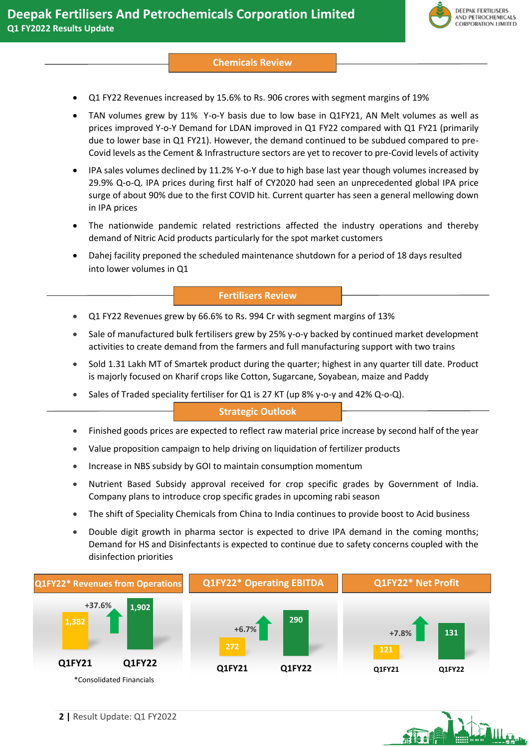

#### **Chemicals Review**

- Q1 FY22 Revenues increased by 15.6% to Rs. 906 crores with segment margins of 19%
- TAN volumes grew by 11% Y-o-Y basis due to low base in Q1FY21, AN Melt volumes as well as prices improved Y-o-Y Demand for LDAN improved in Q1 FY22 compared with Q1 FY21 (primarily due to lower base in Q1 FY21). However, the demand continued to be subdued compared to pre-Covid levels as the Cement & Infrastructure sectors are yet to recover to pre-Covid levels of activity
- IPA sales volumes declined by 11.2% Y-o-Y due to high base last year though volumes increased by 29.9% Q-o-Q. IPA prices during first half of CY2020 had seen an unprecedented global IPA price surge of about 90% due to the first COVID hit. Current quarter has seen a general mellowing down in IPA prices
- The nationwide pandemic related restrictions affected the industry operations and thereby demand of Nitric Acid products particularly for the spot market customers
- Dahej facility preponed the scheduled maintenance shutdown for a period of 18 days resulted into lower volumes in Q1

#### **Fertilisers Review**

- Q1 FY22 Revenues grew by 66.6% to Rs. 994 Cr with segment margins of 13%
- Sale of manufactured bulk fertilisers grew by 25% y-o-y backed by continued market development activities to create demand from the farmers and full manufacturing support with two trains
- Sold 1.31 Lakh MT of Smartek product during the quarter; highest in any quarter till date. Product is majorly focused on Kharif crops like Cotton, Sugarcane, Soyabean, maize and Paddy
- Sales of Traded speciality fertiliser for Q1 is 27 KT (up 8% y-o-y and 42% Q-o-Q).

### **Strategic Outlook**

- Finished goods prices are expected to reflect raw material price increase by second half of the year
- Value proposition campaign to help driving on liquidation of fertilizer products
- Increase in NBS subsidy by GOI to maintain consumption momentum
- Nutrient Based Subsidy approval received for crop specific grades by Government of India. Company plans to introduce crop specific grades in upcoming rabi season
- The shift of Speciality Chemicals from China to India continues to provide boost to Acid business
- Double digit growth in pharma sector is expected to drive IPA demand in the coming months; Demand for HS and Disinfectants is expected to continue due to safety concerns coupled with the disinfection priorities